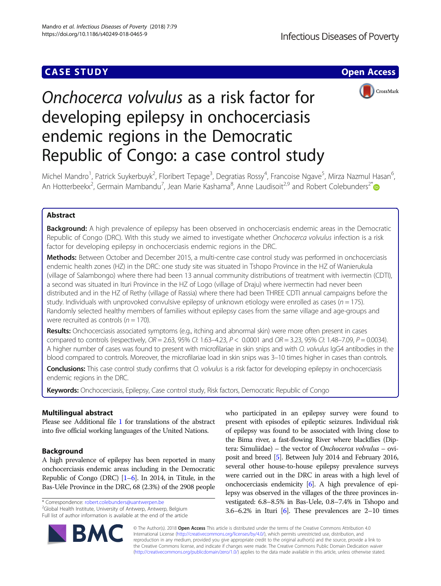## **CASE STUDY CASE STUDY Open Access**



# Onchocerca volvulus as a risk factor for developing epilepsy in onchocerciasis endemic regions in the Democratic Republic of Congo: a case control study

Michel Mandro<sup>1</sup>, Patrick Suykerbuyk<sup>2</sup>, Floribert Tepage<sup>3</sup>, Degratias Rossy<sup>4</sup>, Francoise Ngave<sup>5</sup>, Mirza Nazmul Hasan<sup>6</sup> , An Hotterbeekx<sup>2</sup>, Germain Mambandu<sup>7</sup>, Jean Marie Kashama<sup>8</sup>, Anne Laudisoit<sup>2,9</sup> and Robert Colebunders<sup>2[\\*](http://orcid.org/0000-0002-1919-1340)</sup>

## Abstract

**Background:** A high prevalence of epilepsy has been observed in onchocerciasis endemic areas in the Democratic Republic of Congo (DRC). With this study we aimed to investigate whether Onchocerca volvulus infection is a risk factor for developing epilepsy in onchocerciasis endemic regions in the DRC.

Methods: Between October and December 2015, a multi-centre case control study was performed in onchocerciasis endemic health zones (HZ) in the DRC: one study site was situated in Tshopo Province in the HZ of Wanierukula (village of Salambongo) where there had been 13 annual community distributions of treatment with ivermectin (CDTI), a second was situated in Ituri Province in the HZ of Logo (village of Draju) where ivermectin had never been distributed and in the HZ of Rethy (village of Rassia) where there had been THREE CDTI annual campaigns before the study. Individuals with unprovoked convulsive epilepsy of unknown etiology were enrolled as cases ( $n = 175$ ). Randomly selected healthy members of families without epilepsy cases from the same village and age-groups and were recruited as controls ( $n = 170$ ).

Results: Onchocerciasis associated symptoms (e.g., itching and abnormal skin) were more often present in cases compared to controls (respectively,  $OR = 2.63$ , 95% CI: 1.63-4.23,  $P < 0.0001$  and  $OR = 3.23$ , 95% CI: 1.48-7.09,  $P = 0.0034$ ). A higher number of cases was found to present with microfilariae in skin snips and with O. volvulus IgG4 antibodies in the blood compared to controls. Moreover, the microfilariae load in skin snips was 3–10 times higher in cases than controls.

Conclusions: This case control study confirms that O. volvulus is a risk factor for developing epilepsy in onchocerciasis endemic regions in the DRC.

Keywords: Onchocerciasis, Epilepsy, Case control study, Risk factors, Democratic Republic of Congo

## Multilingual abstract

Please see Additional file [1](#page-5-0) for translations of the abstract into five official working languages of the United Nations.

## Background

A high prevalence of epilepsy has been reported in many onchocerciasis endemic areas including in the Democratic Republic of Congo (DRC)  $[1-6]$  $[1-6]$  $[1-6]$  $[1-6]$ . In 2014, in Titule, in the Bas-Uéle Province in the DRC, 68 (2.3%) of the 2908 people

\* Correspondence: [robert.colebunders@uantwerpen.be](mailto:robert.colebunders@uantwerpen.be) <sup>2</sup>

<sup>2</sup>Global Health Institute, University of Antwerp, Antwerp, Belgium Full list of author information is available at the end of the article



who participated in an epilepsy survey were found to present with episodes of epileptic seizures. Individual risk of epilepsy was found to be associated with living close to the Bima river, a fast-flowing River where blackflies (Diptera: Simuliidae) – the vector of Onchocerca volvulus – oviposit and breed [[5](#page-5-0)]. Between July 2014 and February 2016, several other house-to-house epilepsy prevalence surveys were carried out in the DRC in areas with a high level of onchocerciasis endemicity [[6\]](#page-5-0). A high prevalence of epilepsy was observed in the villages of the three provinces investigated: 6.8–8.5% in Bas-Uele, 0.8–7.4% in Tshopo and 3.6–6.2% in Ituri  $[6]$  $[6]$ . These prevalences are 2–10 times

© The Author(s). 2018 Open Access This article is distributed under the terms of the Creative Commons Attribution 4.0 International License [\(http://creativecommons.org/licenses/by/4.0/](http://creativecommons.org/licenses/by/4.0/)), which permits unrestricted use, distribution, and reproduction in any medium, provided you give appropriate credit to the original author(s) and the source, provide a link to the Creative Commons license, and indicate if changes were made. The Creative Commons Public Domain Dedication waiver [\(http://creativecommons.org/publicdomain/zero/1.0/](http://creativecommons.org/publicdomain/zero/1.0/)) applies to the data made available in this article, unless otherwise stated.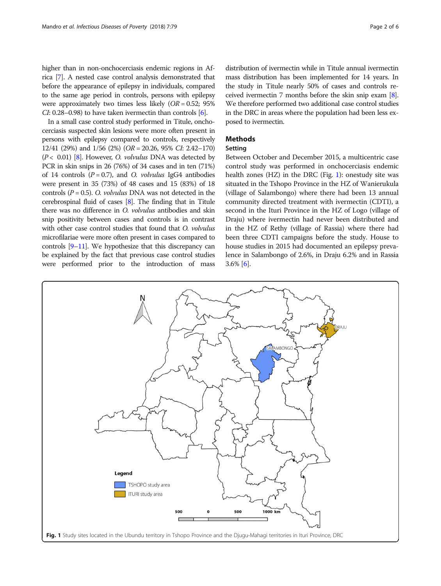In a small case control study performed in Titule, onchocerciasis suspected skin lesions were more often present in persons with epilepsy compared to controls, respectively 12/41 (29%) and 1/56 (2%) (OR = 20.26, 95% CI: 2.42–170)  $(P < 0.01)$  [[8](#page-5-0)]. However, O. volvulus DNA was detected by PCR in skin snips in 26 (76%) of 34 cases and in ten (71%) of 14 controls  $(P = 0.7)$ , and O. *volvulus* IgG4 antibodies were present in 35 (73%) of 48 cases and 15 (83%) of 18 controls  $(P = 0.5)$ . O. *volvulus* DNA was not detected in the cerebrospinal fluid of cases [\[8\]](#page-5-0). The finding that in Titule there was no difference in O. volvulus antibodies and skin snip positivity between cases and controls is in contrast with other case control studies that found that O. *volvulus* microfilariae were more often present in cases compared to controls [\[9](#page-5-0)–[11\]](#page-5-0). We hypothesize that this discrepancy can be explained by the fact that previous case control studies were performed prior to the introduction of mass

distribution of ivermectin while in Titule annual ivermectin mass distribution has been implemented for 14 years. In the study in Titule nearly 50% of cases and controls received ivermectin 7 months before the skin snip exam [[8](#page-5-0)]. We therefore performed two additional case control studies in the DRC in areas where the population had been less exposed to ivermectin.

## Methods

## Setting

Between October and December 2015, a multicentric case control study was performed in onchocerciasis endemic health zones (HZ) in the DRC (Fig. 1): onestudy site was situated in the Tshopo Province in the HZ of Wanierukula (village of Salambongo) where there had been 13 annual community directed treatment with ivermectin (CDTI), a second in the Ituri Province in the HZ of Logo (village of Draju) where ivermectin had never been distributed and in the HZ of Rethy (village of Rassia) where there had been three CDTI campaigns before the study. House to house studies in 2015 had documented an epilepsy prevalence in Salambongo of 2.6%, in Draju 6.2% and in Rassia 3.6% [[6\]](#page-5-0).

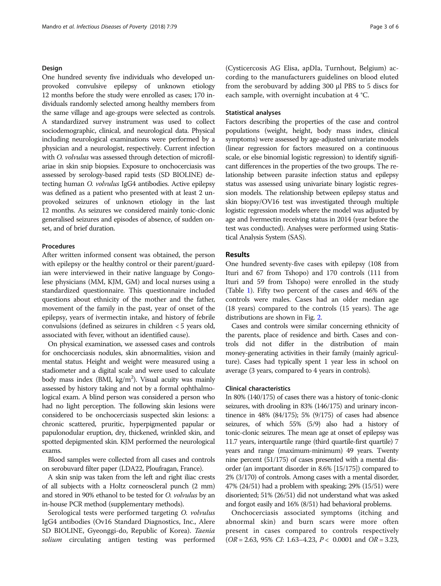#### Design

One hundred seventy five individuals who developed unprovoked convulsive epilepsy of unknown etiology 12 months before the study were enrolled as cases; 170 individuals randomly selected among healthy members from the same village and age-groups were selected as controls. A standardized survey instrument was used to collect sociodemographic, clinical, and neurological data. Physical including neurological examinations were performed by a physician and a neurologist, respectively. Current infection with O. volvulus was assessed through detection of microfilariae in skin snip biopsies. Exposure to onchocerciasis was assessed by serology-based rapid tests (SD BIOLINE) detecting human O. volvulus IgG4 antibodies. Active epilepsy was defined as a patient who presented with at least 2 unprovoked seizures of unknown etiology in the last 12 months. As seizures we considered mainly tonic-clonic generalised seizures and episodes of absence, of sudden onset, and of brief duration.

#### Procedures

After written informed consent was obtained, the person with epilepsy or the healthy control or their parent/guardian were interviewed in their native language by Congolese physicians (MM, KJM, GM) and local nurses using a standardized questionnaire. This questionnaire included questions about ethnicity of the mother and the father, movement of the family in the past, year of onset of the epilepsy, years of ivermectin intake, and history of febrile convulsions (defined as seizures in children < 5 years old, associated with fever, without an identified cause).

On physical examination, we assessed cases and controls for onchocerciasis nodules, skin abnormalities, vision and mental status. Height and weight were measured using a stadiometer and a digital scale and were used to calculate body mass index (BMI, kg/m<sup>2</sup>). Visual acuity was mainly assessed by history taking and not by a formal ophthalmological exam. A blind person was considered a person who had no light perception. The following skin lesions were considered to be onchocerciasis suspected skin lesions: a chronic scattered, pruritic, hyperpigmented papular or papulonodular eruption, dry, thickened, wrinkled skin, and spotted depigmented skin. KJM performed the neurological exams.

Blood samples were collected from all cases and controls on serobuvard filter paper (LDA22, Ploufragan, France).

A skin snip was taken from the left and right iliac crests of all subjects with a Holtz corneoscleral punch (2 mm) and stored in 90% ethanol to be tested for O. volvulus by an in-house PCR method (supplementary methods).

Serological tests were performed targeting O. volvulus IgG4 antibodies (Ov16 Standard Diagnostics, Inc., Alere SD BIOLINE, Gyeonggi-do, Republic of Korea). Taenia solium circulating antigen testing was performed

(Cysticercosis AG Elisa, apDIa, Turnhout, Belgium) according to the manufacturers guidelines on blood eluted from the serobuvard by adding 300 μl PBS to 5 discs for each sample, with overnight incubation at 4 °C.

#### Statistical analyses

Factors describing the properties of the case and control populations (weight, height, body mass index, clinical symptoms) were assessed by age-adjusted univariate models (linear regression for factors measured on a continuous scale, or else binomial logistic regression) to identify significant differences in the properties of the two groups. The relationship between parasite infection status and epilepsy status was assessed using univariate binary logistic regression models. The relationship between epilepsy status and skin biopsy/OV16 test was investigated through multiple logistic regression models where the model was adjusted by age and Ivermectin receiving status in 2014 (year before the test was conducted). Analyses were performed using Statistical Analysis System (SAS).

#### Results

One hundred seventy-five cases with epilepsy (108 from Ituri and 67 from Tshopo) and 170 controls (111 from Ituri and 59 from Tshopo) were enrolled in the study (Table [1](#page-3-0)). Fifty two percent of the cases and 46% of the controls were males. Cases had an older median age (18 years) compared to the controls (15 years). The age distributions are shown in Fig. [2](#page-3-0).

Cases and controls were similar concerning ethnicity of the parents, place of residence and birth. Cases and controls did not differ in the distribution of main money-generating activities in their family (mainly agriculture). Cases had typically spent 1 year less in school on average (3 years, compared to 4 years in controls).

#### Clinical characteristics

In 80% (140/175) of cases there was a history of tonic-clonic seizures, with drooling in 83% (146/175) and urinary incontinence in 48% (84/175); 5% (9/175) of cases had absence seizures, of which 55% (5/9) also had a history of tonic-clonic seizures. The mean age at onset of epilepsy was 11.7 years, interquartile range (third quartile-first quartile) 7 years and range (maximum-minimum) 49 years. Twenty nine percent (51/175) of cases presented with a mental disorder (an important disorder in 8.6% [15/175]) compared to 2% (3/170) of controls. Among cases with a mental disorder, 47% (24/51) had a problem with speaking; 29% (15/51) were disoriented; 51% (26/51) did not understand what was asked and forgot easily and 16% (8/51) had behavioral problems.

Onchocerciasis associated symptoms (itching and abnormal skin) and burn scars were more often present in cases compared to controls respectively  $(OR = 2.63, 95\% \text{ CI: } 1.63 - 4.23, P < 0.0001 \text{ and } OR = 3.23,$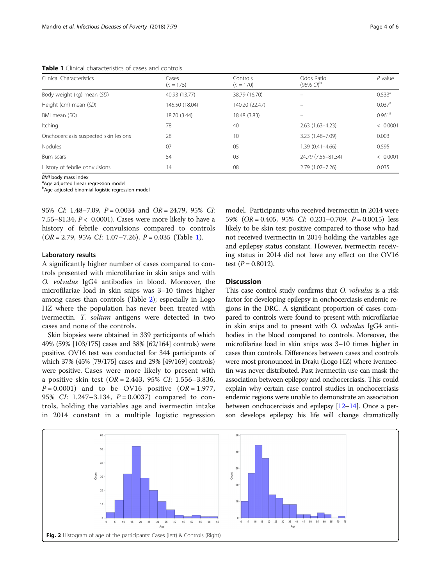<span id="page-3-0"></span>Table 1 Clinical characteristics of cases and controls

| Clinical Characteristics              | Cases<br>$(n = 175)$ | Controls<br>$(n = 170)$ | Odds Ratio<br>$(95\% \text{ C}^{\text{D}})$ | $P$ value            |  |
|---------------------------------------|----------------------|-------------------------|---------------------------------------------|----------------------|--|
| Body weight (kg) mean (SD)            | 40.93 (13.77)        | 38.79 (16.70)           |                                             | 0.533 <sup>a</sup>   |  |
| Height (cm) mean (SD)                 | 145.50 (18.04)       | 140.20 (22.47)          |                                             | $0.037$ <sup>a</sup> |  |
| BMI mean (SD)                         | 18.70 (3.44)         | 18.48 (3.83)            |                                             | $0.961$ <sup>a</sup> |  |
| Itching                               | 78                   | 40                      | $2.63(1.63-4.23)$                           | < 0.0001             |  |
| Onchocerciasis suspected skin lesions | 28                   | 10                      | 3.23 (1.48-7.09)                            | 0.003                |  |
| <b>Nodules</b>                        | 07                   | 05                      | 1.39 (0.41-4.66)                            | 0.595                |  |
| Burn scars                            | 54                   | 03                      | 24.79 (7.55-81.34)                          | < 0.0001             |  |
| History of febrile convulsions        | 14                   | 08                      | $2.79(1.07 - 7.26)$                         | 0.035                |  |

**BMI** body mass index

<sup>a</sup>Age adjusted linear regression model

<sup>b</sup>Age adjusted binomial logistic regression model

95% CI: 1.48–7.09, P = 0.0034 and OR = 24.79, 95% CI: 7.55–81.34,  $P < 0.0001$ ). Cases were more likely to have a history of febrile convulsions compared to controls  $(OR = 2.79, 95\% CI: 1.07–7.26), P = 0.035 (Table 1).$ 

#### Laboratory results

A significantly higher number of cases compared to controls presented with microfilariae in skin snips and with O. volvulus IgG4 antibodies in blood. Moreover, the microfilariae load in skin snips was 3–10 times higher among cases than controls (Table [2](#page-4-0)); especially in Logo HZ where the population has never been treated with ivermectin. T. solium antigens were detected in two cases and none of the controls.

Skin biopsies were obtained in 339 participants of which 49% (59% [103/175] cases and 38% [62/164] controls) were positive. OV16 test was conducted for 344 participants of which 37% (45% [79/175] cases and 29% [49/169] controls) were positive. Cases were more likely to present with a positive skin test (OR = 2.443, 95% CI: 1.556–3.836,  $P = 0.0001$ ) and to be OV16 positive (OR = 1.977, 95% CI: 1.247-3.134,  $P = 0.0037$  compared to controls, holding the variables age and ivermectin intake in 2014 constant in a multiple logistic regression

model. Participants who received ivermectin in 2014 were 59%  $(OR = 0.405, 95\% \text{ } CI: 0.231 - 0.709, P = 0.0015)$  less likely to be skin test positive compared to those who had not received ivermectin in 2014 holding the variables age and epilepsy status constant. However, ivermectin receiving status in 2014 did not have any effect on the OV16 test  $(P = 0.8012)$ .

## **Discussion**

This case control study confirms that O. volvulus is a risk factor for developing epilepsy in onchocerciasis endemic regions in the DRC. A significant proportion of cases compared to controls were found to present with microfilariae in skin snips and to present with O. volvulus IgG4 antibodies in the blood compared to controls. Moreover, the microfilariae load in skin snips was 3–10 times higher in cases than controls. Differences between cases and controls were most pronounced in Draju (Logo HZ) where ivermectin was never distributed. Past ivermectin use can mask the association between epilepsy and onchocerciasis. This could explain why certain case control studies in onchocerciasis endemic regions were unable to demonstrate an association between onchocerciasis and epilepsy [[12](#page-5-0)–[14](#page-5-0)]. Once a person develops epilepsy his life will change dramatically

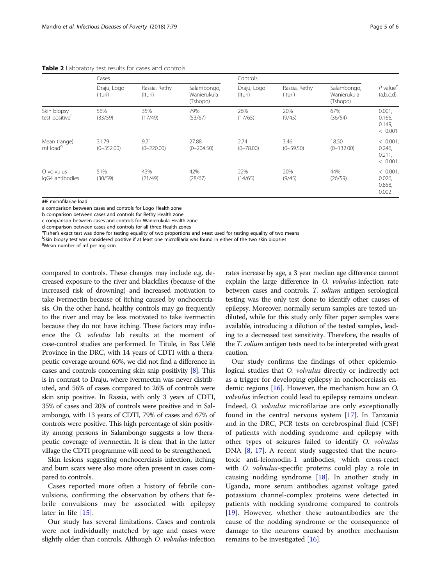#### <span id="page-4-0"></span>Table 2 Laboratory test results for cases and controls

|                                           | Cases                   |                          |                                        | Controls               |                          |                                        |                                             |
|-------------------------------------------|-------------------------|--------------------------|----------------------------------------|------------------------|--------------------------|----------------------------------------|---------------------------------------------|
|                                           | Draju, Logo<br>(Ituri)  | Rassia, Rethy<br>(Ituri) | Salambongo,<br>Wanierukula<br>(Tshopo) | Draju, Logo<br>(Ituri) | Rassia, Rethy<br>(Ituri) | Salambongo,<br>Wanierukula<br>(Tshopo) | $P$ value <sup>e</sup><br>(a,b,c,d)         |
| Skin biopsy<br>test positive <sup>r</sup> | 56%<br>(33/59)          | 35%<br>(17/49)           | 79%<br>(53/67)                         | 26%<br>(17/65)         | 20%<br>(9/45)            | 67%<br>(36/54)                         | $0.001$ ,<br>0.166,<br>0.149.<br>< 0.001    |
| Mean (range)<br>mf load <sup>9</sup>      | 31.79<br>$(0 - 352.00)$ | 9.71<br>$(0 - 220.00)$   | 27.88<br>$(0 - 204.50)$                | 2.74<br>$(0 - 78.00)$  | 3.46<br>$(0 - 59.50)$    | 18.50<br>$(0 - 132.00)$                | $< 0.001$ ,<br>0.246,<br>0.211,<br>< 0.001  |
| O volvulus<br>IgG4 antibodies             | 51%<br>(30/59)          | 43%<br>(21/49)           | 42%<br>(28/67)                         | 22%<br>(14/65)         | 20%<br>(9/45)            | 44%<br>(26/59)                         | $< 0.001$ ,<br>$0.026$ ,<br>0.858,<br>0.002 |

MF microfilariae load

a comparison between cases and controls for Logo Health zone

b comparison between cases and controls for Rethy Health zone

c comparison between cases and controls for Wanierukula Health zone

d comparison between cases and controls for all three Health zones

<sup>e</sup> Fisher's exact test was done for testing equality of two proportions and t-test used for testing equality of two means for the two considered positive if at least one microfilaria was found in either of the two skin bi

<sup>f</sup>Skin biopsy test was considered positive if at least one microfilaria was found in either of the two skin biopsies

<sup>g</sup>Mean number of mf per mg skin

compared to controls. These changes may include e.g. decreased exposure to the river and blackflies (because of the increased risk of drowning) and increased motivation to take ivermectin because of itching caused by onchocerciasis. On the other hand, healthy controls may go frequently to the river and may be less motivated to take ivermectin because they do not have itching. These factors may influence the O. volvulus lab results at the moment of case-control studies are performed. In Titule, in Bas Uélé Province in the DRC, with 14 years of CDTI with a therapeutic coverage around 60%, we did not find a difference in cases and controls concerning skin snip positivity [\[8\]](#page-5-0). This is in contrast to Draju, where ivermectin was never distributed, and 56% of cases compared to 26% of controls were skin snip positive. In Rassia, with only 3 years of CDTI, 35% of cases and 20% of controls were positive and in Salambongo, with 13 years of CDTI, 79% of cases and 67% of controls were positive. This high percentage of skin positivity among persons in Salambongo suggests a low therapeutic coverage of ivermectin. It is clear that in the latter village the CDTI programme will need to be strengthened.

Skin lesions suggesting onchocerciasis infection, itching and burn scars were also more often present in cases compared to controls.

Cases reported more often a history of febrile convulsions, confirming the observation by others that febrile convulsions may be associated with epilepsy later in life [\[15](#page-5-0)].

Our study has several limitations. Cases and controls were not individually matched by age and cases were slightly older than controls. Although O. volvulus-infection rates increase by age, a 3 year median age difference cannot explain the large difference in O. volvulus-infection rate between cases and controls. T. solium antigen serological testing was the only test done to identify other causes of epilepsy. Moreover, normally serum samples are tested undiluted, while for this study only filter paper samples were available, introducing a dilution of the tested samples, leading to a decreased test sensitivity. Therefore, the results of the *T. solium* antigen tests need to be interpreted with great caution.

Our study confirms the findings of other epidemiological studies that *O. volvulus* directly or indirectly act as a trigger for developing epilepsy in onchocerciasis endemic regions [\[16\]](#page-5-0). However, the mechanism how an O. volvulus infection could lead to epilepsy remains unclear. Indeed, O. volvulus microfilariae are only exceptionally found in the central nervous system [[17\]](#page-5-0). In Tanzania and in the DRC, PCR tests on cerebrospinal fluid (CSF) of patients with nodding syndrome and epilepsy with other types of seizures failed to identify O. volvulus DNA [[8](#page-5-0), [17](#page-5-0)]. A recent study suggested that the neurotoxic anti-leiomodin-1 antibodies, which cross-react with *O. volvulus-specific* proteins could play a role in causing nodding syndrome [[18\]](#page-5-0). In another study in Uganda, more serum antibodies against voltage gated potassium channel-complex proteins were detected in patients with nodding syndrome compared to controls [[19\]](#page-5-0). However, whether these autoantibodies are the cause of the nodding syndrome or the consequence of damage to the neurons caused by another mechanism remains to be investigated [\[16\]](#page-5-0).